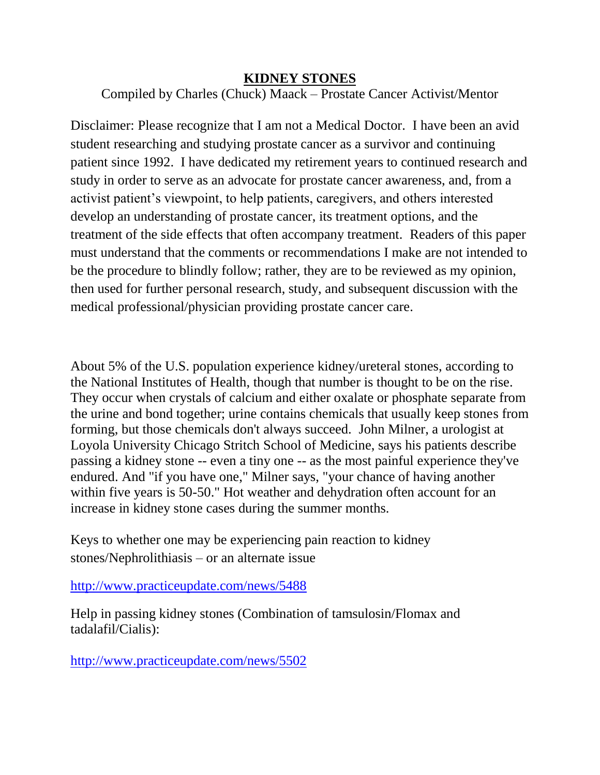## **KIDNEY STONES**

Compiled by Charles (Chuck) Maack – Prostate Cancer Activist/Mentor

Disclaimer: Please recognize that I am not a Medical Doctor. I have been an avid student researching and studying prostate cancer as a survivor and continuing patient since 1992. I have dedicated my retirement years to continued research and study in order to serve as an advocate for prostate cancer awareness, and, from a activist patient's viewpoint, to help patients, caregivers, and others interested develop an understanding of prostate cancer, its treatment options, and the treatment of the side effects that often accompany treatment. Readers of this paper must understand that the comments or recommendations I make are not intended to be the procedure to blindly follow; rather, they are to be reviewed as my opinion, then used for further personal research, study, and subsequent discussion with the medical professional/physician providing prostate cancer care.

About 5% of the U.S. population experience kidney/ureteral stones, according to the National Institutes of Health, though that number is thought to be on the rise. They occur when crystals of calcium and either oxalate or phosphate separate from the urine and bond together; urine contains chemicals that usually keep stones from forming, but those chemicals don't always succeed. John Milner, a urologist at Loyola University Chicago Stritch School of Medicine, says his patients describe passing a kidney stone -- even a tiny one -- as the most painful experience they've endured. And "if you have one," Milner says, "your chance of having another within five years is 50-50." Hot weather and dehydration often account for an increase in kidney stone cases during the summer months.

Keys to whether one may be experiencing pain reaction to kidney stones/Nephrolithiasis – or an alternate issue

<http://www.practiceupdate.com/news/5488>

Help in passing kidney stones (Combination of tamsulosin/Flomax and tadalafil/Cialis):

<http://www.practiceupdate.com/news/5502>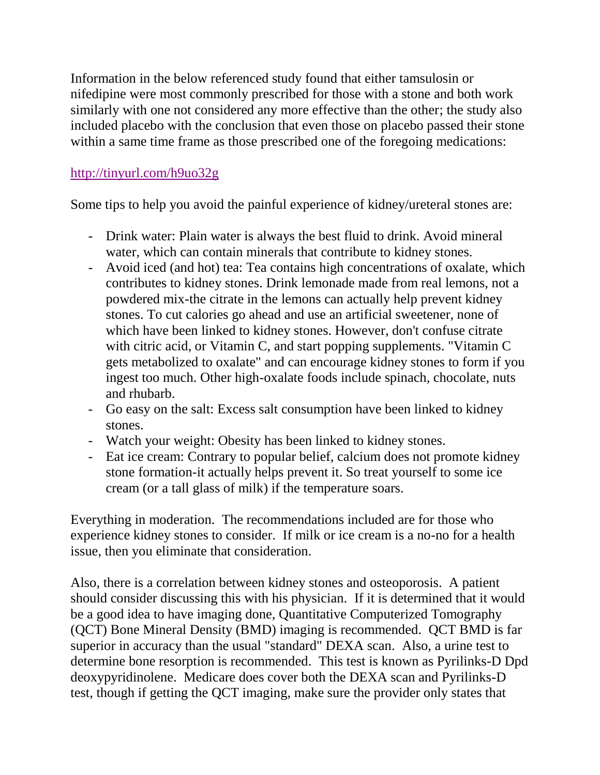Information in the below referenced study found that either tamsulosin or nifedipine were most commonly prescribed for those with a stone and both work similarly with one not considered any more effective than the other; the study also included placebo with the conclusion that even those on placebo passed their stone within a same time frame as those prescribed one of the foregoing medications:

## <http://tinyurl.com/h9uo32g>

Some tips to help you avoid the painful experience of kidney/ureteral stones are:

- Drink water: Plain water is always the best fluid to drink. Avoid mineral water, which can contain minerals that contribute to kidney stones.
- Avoid iced (and hot) tea: Tea contains high concentrations of oxalate, which contributes to kidney stones. Drink lemonade made from real lemons, not a powdered mix-the citrate in the lemons can actually help prevent kidney stones. To cut calories go ahead and use an artificial sweetener, none of which have been linked to kidney stones. However, don't confuse citrate with citric acid, or Vitamin C, and start popping supplements. "Vitamin C gets metabolized to oxalate" and can encourage kidney stones to form if you ingest too much. Other high-oxalate foods include spinach, chocolate, nuts and rhubarb.
- Go easy on the salt: Excess salt consumption have been linked to kidney stones.
- Watch your weight: Obesity has been linked to kidney stones.
- Eat ice cream: Contrary to popular belief, calcium does not promote kidney stone formation-it actually helps prevent it. So treat yourself to some ice cream (or a tall glass of milk) if the temperature soars.

Everything in moderation. The recommendations included are for those who experience kidney stones to consider. If milk or ice cream is a no-no for a health issue, then you eliminate that consideration.

Also, there is a correlation between kidney stones and osteoporosis. A patient should consider discussing this with his physician. If it is determined that it would be a good idea to have imaging done, Quantitative Computerized Tomography (QCT) Bone Mineral Density (BMD) imaging is recommended. QCT BMD is far superior in accuracy than the usual "standard" DEXA scan. Also, a urine test to determine bone resorption is recommended. This test is known as Pyrilinks-D Dpd deoxypyridinolene. Medicare does cover both the DEXA scan and Pyrilinks-D test, though if getting the QCT imaging, make sure the provider only states that